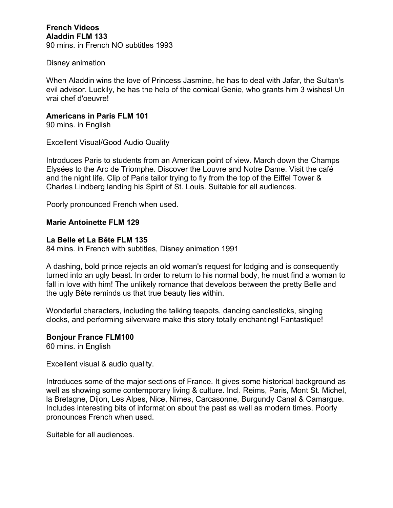**French Videos Aladdin FLM 133** 90 mins. in French NO subtitles 1993

### Disney animation

When Aladdin wins the love of Princess Jasmine, he has to deal with Jafar, the Sultan's evil advisor. Luckily, he has the help of the comical Genie, who grants him 3 wishes! Un vrai chef d'oeuvre!

# **Americans in Paris FLM 101**

90 mins. in English

Excellent Visual/Good Audio Quality

Introduces Paris to students from an American point of view. March down the Champs Elysées to the Arc de Triomphe. Discover the Louvre and Notre Dame. Visit the café and the night life. Clip of Paris tailor trying to fly from the top of the Eiffel Tower & Charles Lindberg landing his Spirit of St. Louis. Suitable for all audiences.

Poorly pronounced French when used.

### **Marie Antoinette FLM 129**

### **La Belle et La Bête FLM 135**

84 mins. in French with subtitles, Disney animation 1991

A dashing, bold prince rejects an old woman's request for lodging and is consequently turned into an ugly beast. In order to return to his normal body, he must find a woman to fall in love with him! The unlikely romance that develops between the pretty Belle and the ugly Bête reminds us that true beauty lies within.

Wonderful characters, including the talking teapots, dancing candlesticks, singing clocks, and performing silverware make this story totally enchanting! Fantastique!

### **Bonjour France FLM100**

60 mins. in English

Excellent visual & audio quality.

Introduces some of the major sections of France. It gives some historical background as well as showing some contemporary living & culture. Incl. Reims, Paris, Mont St. Michel, la Bretagne, Dijon, Les Alpes, Nice, Nimes, Carcasonne, Burgundy Canal & Camargue. Includes interesting bits of information about the past as well as modern times. Poorly pronounces French when used.

Suitable for all audiences.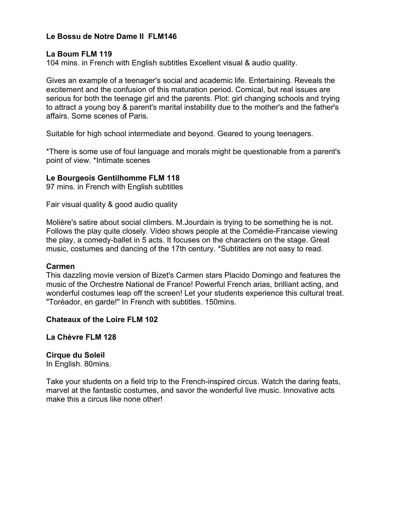# **Le Bossu de Notre Dame II FLM146**

### **La Boum FLM 119**

104 mins. in French with English subtitles Excellent visual & audio quality.

Gives an example of a teenager's social and academic life. Entertaining. Reveals the excitement and the confusion of this maturation period. Comical, but real issues are serious for both the teenage girl and the parents. Plot: girl changing schools and trying to attract a young boy & parent's marital instability due to the mother's and the father's affairs. Some scenes of Paris.

Suitable for high school intermediate and beyond. Geared to young teenagers.

\*There is some use of foul language and morals might be questionable from a parent's point of view. \*Intimate scenes

### **Le Bourgeois Gentilhomme FLM 118**

97 mins. in French with English subtitles

Fair visual quality & good audio quality

Molière's satire about social climbers. M.Jourdain is trying to be something he is not. Follows the play quite closely. Video shows people at the Comédie-Francaise viewing the play, a comedy-ballet in 5 acts. It focuses on the characters on the stage. Great music, costumes and dancing of the 17th century. \*Subtitles are not easy to read.

### **Carmen**

This dazzling movie version of Bizet's Carmen stars Placido Domingo and features the music of the Orchestre National de France! Powerful French arias, brilliant acting, and wonderful costumes leap off the screen! Let your students experience this cultural treat. "Toréador, en garde!" In French with subtitles. 150mins.

### **Chateaux of the Loire FLM 102**

**La Chèvre FLM 128** 

### **Cirque du Soleil**

In English. 80mins.

Take your students on a field trip to the French-inspired circus. Watch the daring feats, marvel at the fantastic costumes, and savor the wonderful live music. Innovative acts make this a circus like none other!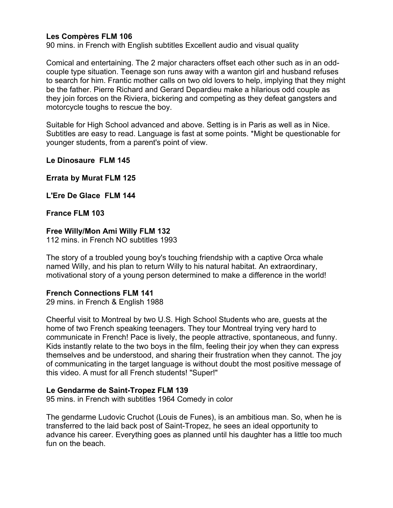# **Les Compères FLM 106**

90 mins. in French with English subtitles Excellent audio and visual quality

Comical and entertaining. The 2 major characters offset each other such as in an oddcouple type situation. Teenage son runs away with a wanton girl and husband refuses to search for him. Frantic mother calls on two old lovers to help, implying that they might be the father. Pierre Richard and Gerard Depardieu make a hilarious odd couple as they join forces on the Riviera, bickering and competing as they defeat gangsters and motorcycle toughs to rescue the boy.

Suitable for High School advanced and above. Setting is in Paris as well as in Nice. Subtitles are easy to read. Language is fast at some points. \*Might be questionable for younger students, from a parent's point of view.

**Le Dinosaure FLM 145**

**Errata by Murat FLM 125**

**L'Ere De Glace FLM 144**

**France FLM 103**

#### **Free Willy/Mon Ami Willy FLM 132**

112 mins. in French NO subtitles 1993

The story of a troubled young boy's touching friendship with a captive Orca whale named Willy, and his plan to return Willy to his natural habitat. An extraordinary, motivational story of a young person determined to make a difference in the world!

### **French Connections FLM 141**

29 mins. in French & English 1988

Cheerful visit to Montreal by two U.S. High School Students who are, guests at the home of two French speaking teenagers. They tour Montreal trying very hard to communicate in French! Pace is lively, the people attractive, spontaneous, and funny. Kids instantly relate to the two boys in the film, feeling their joy when they can express themselves and be understood, and sharing their frustration when they cannot. The joy of communicating in the target language is without doubt the most positive message of this video. A must for all French students! "Super!"

### **Le Gendarme de Saint-Tropez FLM 139**

95 mins. in French with subtitles 1964 Comedy in color

The gendarme Ludovic Cruchot (Louis de Funes), is an ambitious man. So, when he is transferred to the laid back post of Saint-Tropez, he sees an ideal opportunity to advance his career. Everything goes as planned until his daughter has a little too much fun on the beach.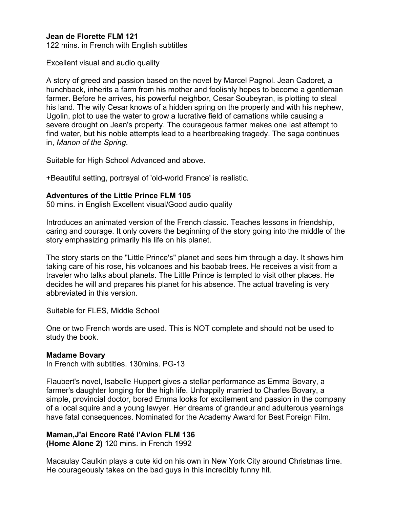# **Jean de Florette FLM 121**

122 mins. in French with English subtitles

Excellent visual and audio quality

A story of greed and passion based on the novel by Marcel Pagnol. Jean Cadoret, a hunchback, inherits a farm from his mother and foolishly hopes to become a gentleman farmer. Before he arrives, his powerful neighbor, Cesar Soubeyran, is plotting to steal his land. The wily Cesar knows of a hidden spring on the property and with his nephew, Ugolin, plot to use the water to grow a lucrative field of carnations while causing a severe drought on Jean's property. The courageous farmer makes one last attempt to find water, but his noble attempts lead to a heartbreaking tragedy. The saga continues in, *Manon of the Spring*.

Suitable for High School Advanced and above.

+Beautiful setting, portrayal of 'old-world France' is realistic.

### **Adventures of the Little Prince FLM 105**

50 mins. in English Excellent visual/Good audio quality

Introduces an animated version of the French classic. Teaches lessons in friendship, caring and courage. It only covers the beginning of the story going into the middle of the story emphasizing primarily his life on his planet.

The story starts on the "Little Prince's" planet and sees him through a day. It shows him taking care of his rose, his volcanoes and his baobab trees. He receives a visit from a traveler who talks about planets. The Little Prince is tempted to visit other places. He decides he will and prepares his planet for his absence. The actual traveling is very abbreviated in this version.

Suitable for FLES, Middle School

One or two French words are used. This is NOT complete and should not be used to study the book.

### **Madame Bovary**

In French with subtitles. 130mins. PG-13

Flaubert's novel, Isabelle Huppert gives a stellar performance as Emma Bovary, a farmer's daughter longing for the high life. Unhappily married to Charles Bovary, a simple, provincial doctor, bored Emma looks for excitement and passion in the company of a local squire and a young lawyer. Her dreams of grandeur and adulterous yearnings have fatal consequences. Nominated for the Academy Award for Best Foreign Film.

### **Maman,J'ai Encore Raté l'Avion FLM 136**

**(Home Alone 2)** 120 mins. in French 1992

Macaulay Caulkin plays a cute kid on his own in New York City around Christmas time. He courageously takes on the bad guys in this incredibly funny hit.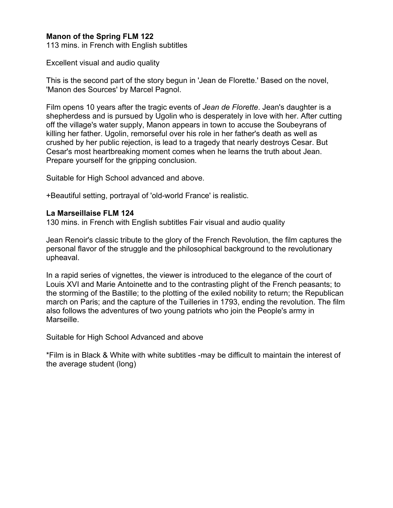# **Manon of the Spring FLM 122**

113 mins. in French with English subtitles

Excellent visual and audio quality

This is the second part of the story begun in 'Jean de Florette.' Based on the novel, 'Manon des Sources' by Marcel Pagnol.

Film opens 10 years after the tragic events of *Jean de Florette*. Jean's daughter is a shepherdess and is pursued by Ugolin who is desperately in love with her. After cutting off the village's water supply, Manon appears in town to accuse the Soubeyrans of killing her father. Ugolin, remorseful over his role in her father's death as well as crushed by her public rejection, is lead to a tragedy that nearly destroys Cesar. But Cesar's most heartbreaking moment comes when he learns the truth about Jean. Prepare yourself for the gripping conclusion.

Suitable for High School advanced and above.

+Beautiful setting, portrayal of 'old-world France' is realistic.

#### **La Marseillaise FLM 124**

130 mins. in French with English subtitles Fair visual and audio quality

Jean Renoir's classic tribute to the glory of the French Revolution, the film captures the personal flavor of the struggle and the philosophical background to the revolutionary upheaval.

In a rapid series of vignettes, the viewer is introduced to the elegance of the court of Louis XVI and Marie Antoinette and to the contrasting plight of the French peasants; to the storming of the Bastille; to the plotting of the exiled nobility to return; the Republican march on Paris; and the capture of the Tuilleries in 1793, ending the revolution. The film also follows the adventures of two young patriots who join the People's army in Marseille.

Suitable for High School Advanced and above

\*Film is in Black & White with white subtitles -may be difficult to maintain the interest of the average student (long)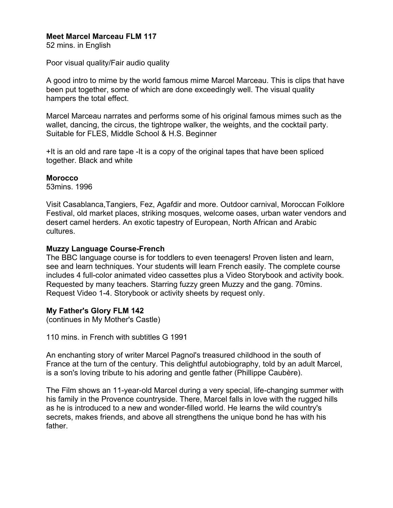# **Meet Marcel Marceau FLM 117**

52 mins. in English

Poor visual quality/Fair audio quality

A good intro to mime by the world famous mime Marcel Marceau. This is clips that have been put together, some of which are done exceedingly well. The visual quality hampers the total effect.

Marcel Marceau narrates and performs some of his original famous mimes such as the wallet, dancing, the circus, the tightrope walker, the weights, and the cocktail party. Suitable for FLES, Middle School & H.S. Beginner

+It is an old and rare tape -It is a copy of the original tapes that have been spliced together. Black and white

### **Morocco**

53mins. 1996

Visit Casablanca,Tangiers, Fez, Agafdir and more. Outdoor carnival, Moroccan Folklore Festival, old market places, striking mosques, welcome oases, urban water vendors and desert camel herders. An exotic tapestry of European, North African and Arabic cultures.

### **Muzzy Language Course-French**

The BBC language course is for toddlers to even teenagers! Proven listen and learn, see and learn techniques. Your students will learn French easily. The complete course includes 4 full-color animated video cassettes plus a Video Storybook and activity book. Requested by many teachers. Starring fuzzy green Muzzy and the gang. 70mins. Request Video 1-4. Storybook or activity sheets by request only.

# **My Father's Glory FLM 142**

(continues in My Mother's Castle)

110 mins. in French with subtitles G 1991

An enchanting story of writer Marcel Pagnol's treasured childhood in the south of France at the turn of the century. This delightful autobiography, told by an adult Marcel, is a son's loving tribute to his adoring and gentle father (Phillippe Caubère).

The Film shows an 11-year-old Marcel during a very special, life-changing summer with his family in the Provence countryside. There, Marcel falls in love with the rugged hills as he is introduced to a new and wonder-filled world. He learns the wild country's secrets, makes friends, and above all strengthens the unique bond he has with his father.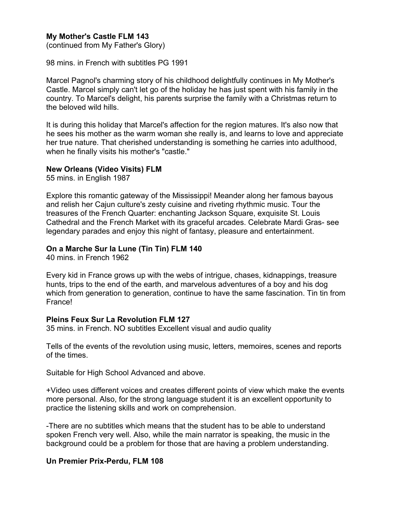# **My Mother's Castle FLM 143**

(continued from My Father's Glory)

98 mins. in French with subtitles PG 1991

Marcel Pagnol's charming story of his childhood delightfully continues in My Mother's Castle. Marcel simply can't let go of the holiday he has just spent with his family in the country. To Marcel's delight, his parents surprise the family with a Christmas return to the beloved wild hills.

It is during this holiday that Marcel's affection for the region matures. It's also now that he sees his mother as the warm woman she really is, and learns to love and appreciate her true nature. That cherished understanding is something he carries into adulthood, when he finally visits his mother's "castle."

### **New Orleans (Video Visits) FLM**

55 mins. in English 1987

Explore this romantic gateway of the Mississippi! Meander along her famous bayous and relish her Cajun culture's zesty cuisine and riveting rhythmic music. Tour the treasures of the French Quarter: enchanting Jackson Square, exquisite St. Louis Cathedral and the French Market with its graceful arcades. Celebrate Mardi Gras- see legendary parades and enjoy this night of fantasy, pleasure and entertainment.

### **On a Marche Sur la Lune (Tin Tin) FLM 140**

40 mins. in French 1962

Every kid in France grows up with the webs of intrigue, chases, kidnappings, treasure hunts, trips to the end of the earth, and marvelous adventures of a boy and his dog which from generation to generation, continue to have the same fascination. Tin tin from France!

### **Pleins Feux Sur La Revolution FLM 127**

35 mins. in French. NO subtitles Excellent visual and audio quality

Tells of the events of the revolution using music, letters, memoires, scenes and reports of the times.

Suitable for High School Advanced and above.

+Video uses different voices and creates different points of view which make the events more personal. Also, for the strong language student it is an excellent opportunity to practice the listening skills and work on comprehension.

-There are no subtitles which means that the student has to be able to understand spoken French very well. Also, while the main narrator is speaking, the music in the background could be a problem for those that are having a problem understanding.

### **Un Premier Prix-Perdu, FLM 108**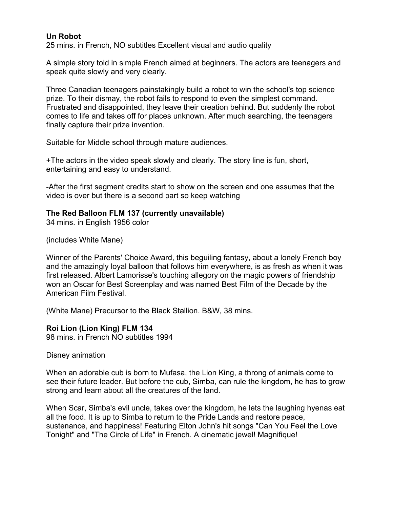# **Un Robot**

25 mins. in French, NO subtitles Excellent visual and audio quality

A simple story told in simple French aimed at beginners. The actors are teenagers and speak quite slowly and very clearly.

Three Canadian teenagers painstakingly build a robot to win the school's top science prize. To their dismay, the robot fails to respond to even the simplest command. Frustrated and disappointed, they leave their creation behind. But suddenly the robot comes to life and takes off for places unknown. After much searching, the teenagers finally capture their prize invention.

Suitable for Middle school through mature audiences.

+The actors in the video speak slowly and clearly. The story line is fun, short, entertaining and easy to understand.

-After the first segment credits start to show on the screen and one assumes that the video is over but there is a second part so keep watching

# **The Red Balloon FLM 137 (currently unavailable)**

34 mins. in English 1956 color

(includes White Mane)

Winner of the Parents' Choice Award, this beguiling fantasy, about a lonely French boy and the amazingly loyal balloon that follows him everywhere, is as fresh as when it was first released. Albert Lamorisse's touching allegory on the magic powers of friendship won an Oscar for Best Screenplay and was named Best Film of the Decade by the American Film Festival.

(White Mane) Precursor to the Black Stallion. B&W, 38 mins.

**Roi Lion (Lion King) FLM 134** 98 mins. in French NO subtitles 1994

Disney animation

When an adorable cub is born to Mufasa, the Lion King, a throng of animals come to see their future leader. But before the cub, Simba, can rule the kingdom, he has to grow strong and learn about all the creatures of the land.

When Scar, Simba's evil uncle, takes over the kingdom, he lets the laughing hyenas eat all the food. It is up to Simba to return to the Pride Lands and restore peace, sustenance, and happiness! Featuring Elton John's hit songs "Can You Feel the Love Tonight" and "The Circle of Life" in French. A cinematic jewel! Magnifique!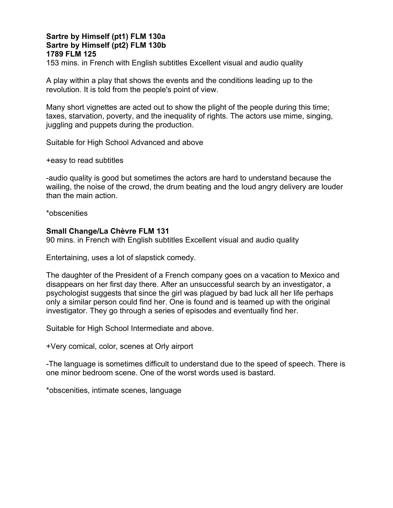# **Sartre by Himself (pt1) FLM 130a Sartre by Himself (pt2) FLM 130b 1789 FLM 125**

153 mins. in French with English subtitles Excellent visual and audio quality

A play within a play that shows the events and the conditions leading up to the revolution. It is told from the people's point of view.

Many short vignettes are acted out to show the plight of the people during this time; taxes, starvation, poverty, and the inequality of rights. The actors use mime, singing, juggling and puppets during the production.

Suitable for High School Advanced and above

+easy to read subtitles

-audio quality is good but sometimes the actors are hard to understand because the wailing, the noise of the crowd, the drum beating and the loud angry delivery are louder than the main action.

\*obscenities

### **Small Change/La Chèvre FLM 131**

90 mins. in French with English subtitles Excellent visual and audio quality

Entertaining, uses a lot of slapstick comedy.

The daughter of the President of a French company goes on a vacation to Mexico and disappears on her first day there. After an unsuccessful search by an investigator, a psychologist suggests that since the girl was plagued by bad luck all her life perhaps only a similar person could find her. One is found and is teamed up with the original investigator. They go through a series of episodes and eventually find her.

Suitable for High School Intermediate and above.

+Very comical, color, scenes at Orly airport

-The language is sometimes difficult to understand due to the speed of speech. There is one minor bedroom scene. One of the worst words used is bastard.

\*obscenities, intimate scenes, language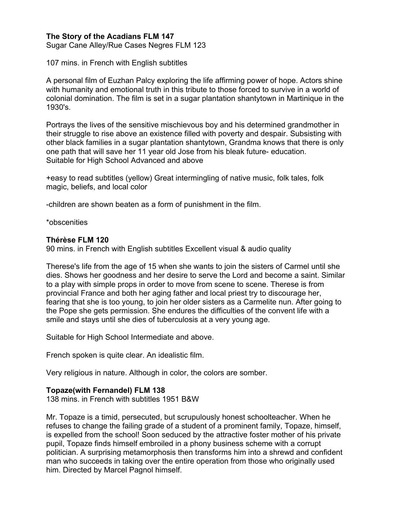# **The Story of the Acadians FLM 147**

Sugar Cane Alley/Rue Cases Negres FLM 123

107 mins. in French with English subtitles

A personal film of Euzhan Palcy exploring the life affirming power of hope. Actors shine with humanity and emotional truth in this tribute to those forced to survive in a world of colonial domination. The film is set in a sugar plantation shantytown in Martinique in the 1930's.

Portrays the lives of the sensitive mischievous boy and his determined grandmother in their struggle to rise above an existence filled with poverty and despair. Subsisting with other black families in a sugar plantation shantytown, Grandma knows that there is only one path that will save her 11 year old Jose from his bleak future- education. Suitable for High School Advanced and above

+easy to read subtitles (yellow) Great intermingling of native music, folk tales, folk magic, beliefs, and local color

-children are shown beaten as a form of punishment in the film.

\*obscenities

### **Thérèse FLM 120**

90 mins. in French with English subtitles Excellent visual & audio quality

Therese's life from the age of 15 when she wants to join the sisters of Carmel until she dies. Shows her goodness and her desire to serve the Lord and become a saint. Similar to a play with simple props in order to move from scene to scene. Therese is from provincial France and both her aging father and local priest try to discourage her, fearing that she is too young, to join her older sisters as a Carmelite nun. After going to the Pope she gets permission. She endures the difficulties of the convent life with a smile and stays until she dies of tuberculosis at a very young age.

Suitable for High School Intermediate and above.

French spoken is quite clear. An idealistic film.

Very religious in nature. Although in color, the colors are somber.

### **Topaze(with Fernandel) FLM 138**

138 mins. in French with subtitles 1951 B&W

Mr. Topaze is a timid, persecuted, but scrupulously honest schoolteacher. When he refuses to change the failing grade of a student of a prominent family, Topaze, himself, is expelled from the school! Soon seduced by the attractive foster mother of his private pupil, Topaze finds himself embroiled in a phony business scheme with a corrupt politician. A surprising metamorphosis then transforms him into a shrewd and confident man who succeeds in taking over the entire operation from those who originally used him. Directed by Marcel Pagnol himself.